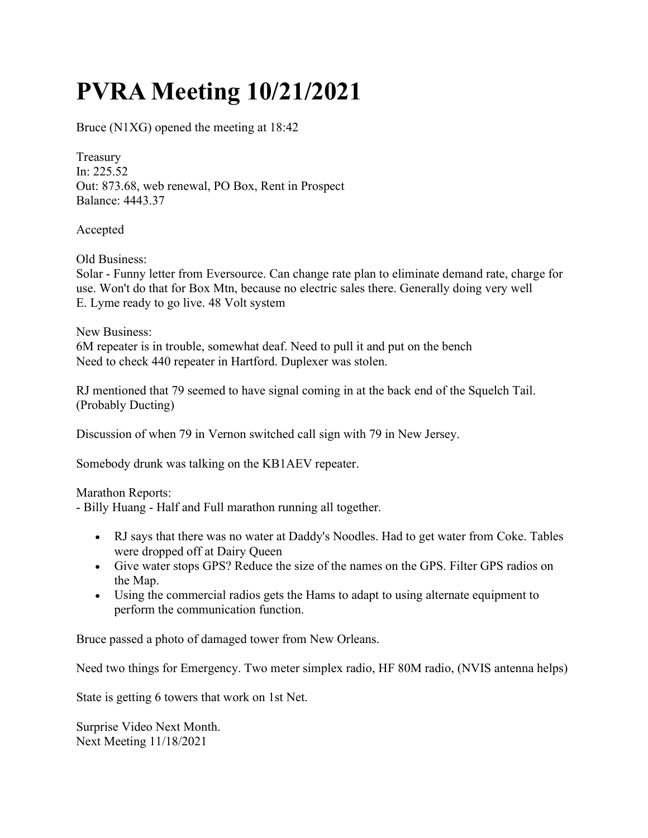## PVRA Meeting 10/21/2021

Bruce (N1XG) opened the meeting at 18:42

Treasury In: 225.52 Out: 873.68, web renewal, PO Box, Rent in Prospect Balance: 4443.37

Accepted

Old Business:

Solar - Funny letter from Eversource. Can change rate plan to eliminate demand rate, charge for use. Won't do that for Box Mtn, because no electric sales there. Generally doing very well E. Lyme ready to go live. 48 Volt system

New Business:

6M repeater is in trouble, somewhat deaf. Need to pull it and put on the bench Need to check 440 repeater in Hartford. Duplexer was stolen.

RJ mentioned that 79 seemed to have signal coming in at the back end of the Squelch Tail. (Probably Ducting)

Discussion of when 79 in Vernon switched call sign with 79 in New Jersey.

Somebody drunk was talking on the KB1AEV repeater.

Marathon Reports:

- Billy Huang - Half and Full marathon running all together.

- RJ says that there was no water at Daddy's Noodles. Had to get water from Coke. Tables were dropped off at Dairy Queen
- Give water stops GPS? Reduce the size of the names on the GPS. Filter GPS radios on the Map.
- Using the commercial radios gets the Hams to adapt to using alternate equipment to perform the communication function.

Bruce passed a photo of damaged tower from New Orleans.

Need two things for Emergency. Two meter simplex radio, HF 80M radio, (NVIS antenna helps)

State is getting 6 towers that work on 1st Net.

Surprise Video Next Month. Next Meeting 11/18/2021